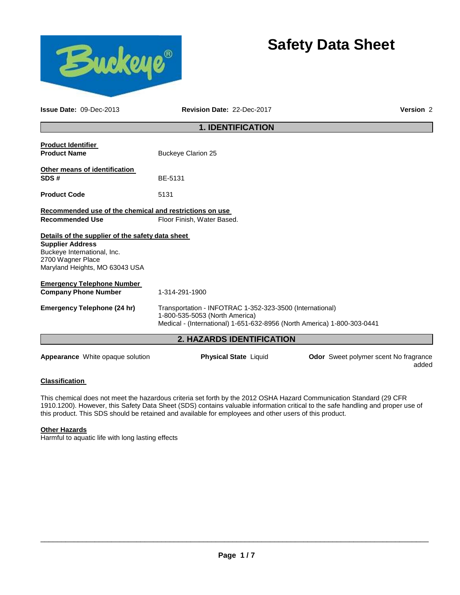# **Safety Data Sheet**



**Issue Date:** 09-Dec-2013 **Revision Date:** 22-Dec-2017 **Version** 2

# **1. IDENTIFICATION**

| <b>Product Identifier</b>                                                                                     |                                                                                                                                                                       |
|---------------------------------------------------------------------------------------------------------------|-----------------------------------------------------------------------------------------------------------------------------------------------------------------------|
| <b>Product Name</b>                                                                                           | <b>Buckeye Clarion 25</b>                                                                                                                                             |
| <b>Other means of identification</b><br>SDS#                                                                  | BE-5131                                                                                                                                                               |
| <b>Product Code</b>                                                                                           | 5131                                                                                                                                                                  |
| Recommended use of the chemical and restrictions on use                                                       |                                                                                                                                                                       |
| <b>Recommended Use</b>                                                                                        | Floor Finish, Water Based.                                                                                                                                            |
| Details of the supplier of the safety data sheet                                                              |                                                                                                                                                                       |
| <b>Supplier Address</b><br>Buckeye International, Inc.<br>2700 Wagner Place<br>Maryland Heights, MO 63043 USA |                                                                                                                                                                       |
| <b>Emergency Telephone Number</b><br><b>Company Phone Number</b>                                              | 1-314-291-1900                                                                                                                                                        |
| Emergency Telephone (24 hr)                                                                                   | Transportation - INFOTRAC 1-352-323-3500 (International)<br>1-800-535-5053 (North America)<br>Medical - (International) 1-651-632-8956 (North America) 1-800-303-0441 |
|                                                                                                               | <b>2. HAZARDS IDENTIFICATION</b>                                                                                                                                      |
|                                                                                                               |                                                                                                                                                                       |

**Appearance** White opaque solution **Physical State** Liquid **Odor** Sweet polymer scent No fragrance added

# **Classification**

This chemical does not meet the hazardous criteria set forth by the 2012 OSHA Hazard Communication Standard (29 CFR 1910.1200). However, this Safety Data Sheet (SDS) contains valuable information critical to the safe handling and proper use of this product. This SDS should be retained and available for employees and other users of this product.

#### **Other Hazards**

Harmful to aquatic life with long lasting effects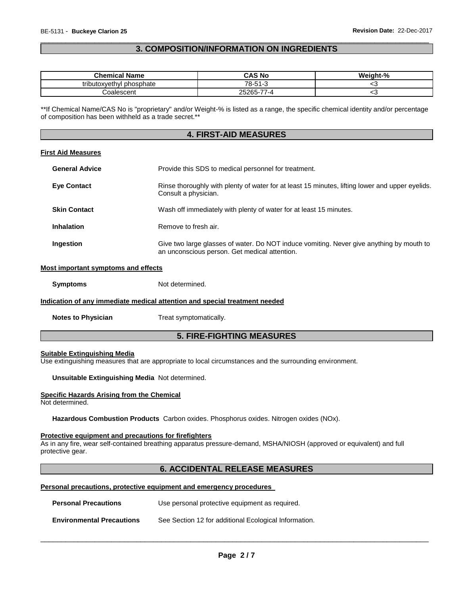# \_\_\_\_\_\_\_\_\_\_\_\_\_\_\_\_\_\_\_\_\_\_\_\_\_\_\_\_\_\_\_\_\_\_\_\_\_\_\_\_\_\_\_\_\_\_\_\_\_\_\_\_\_\_\_\_\_\_\_\_\_\_\_\_\_\_\_\_\_\_\_\_\_\_\_\_\_\_\_\_\_\_\_\_\_\_\_\_\_\_\_\_\_ **3. COMPOSITION/INFORMATION ON INGREDIENTS**

| <b>Chemical Name</b>     | CAS No                                      | Weight-% |
|--------------------------|---------------------------------------------|----------|
| tributoxyethyl phosphate | 78-51-3<br>70                               | ື        |
| Coalescent               | $\rightarrow$<br>$25265 - 1$<br>252<br>⊿۔ ≀ | ∼        |

\*\*If Chemical Name/CAS No is "proprietary" and/or Weight-% is listed as a range, the specific chemical identity and/or percentage of composition has been withheld as a trade secret.\*\*

#### **4. FIRST-AID MEASURES**

#### **First Aid Measures**

| <b>General Advice</b> | Provide this SDS to medical personnel for treatment.                                                                                      |  |  |
|-----------------------|-------------------------------------------------------------------------------------------------------------------------------------------|--|--|
| <b>Eye Contact</b>    | Rinse thoroughly with plenty of water for at least 15 minutes, lifting lower and upper eyelids.<br>Consult a physician.                   |  |  |
| <b>Skin Contact</b>   | Wash off immediately with plenty of water for at least 15 minutes.                                                                        |  |  |
| Inhalation            | Remove to fresh air.                                                                                                                      |  |  |
| Ingestion             | Give two large glasses of water. Do NOT induce vomiting. Never give anything by mouth to<br>an unconscious person. Get medical attention. |  |  |

### **Most important symptoms and effects**

**Symptoms** Not determined.

#### **Indication of any immediate medical attention and special treatment needed**

**Notes to Physician Treat symptomatically.** 

# **5. FIRE-FIGHTING MEASURES**

# **Suitable Extinguishing Media**

Use extinguishing measures that are appropriate to local circumstances and the surrounding environment.

#### **Unsuitable Extinguishing Media** Not determined.

#### **Specific Hazards Arising from the Chemical**

Not determined.

**Hazardous Combustion Products** Carbon oxides. Phosphorus oxides. Nitrogen oxides (NOx).

#### **Protective equipment and precautions for firefighters**

As in any fire, wear self-contained breathing apparatus pressure-demand, MSHA/NIOSH (approved or equivalent) and full protective gear.

### **6. ACCIDENTAL RELEASE MEASURES**

#### **Personal precautions, protective equipment and emergency procedures**

| <b>Personal Precautions</b>      | Use personal protective equipment as required.        |
|----------------------------------|-------------------------------------------------------|
| <b>Environmental Precautions</b> | See Section 12 for additional Ecological Information. |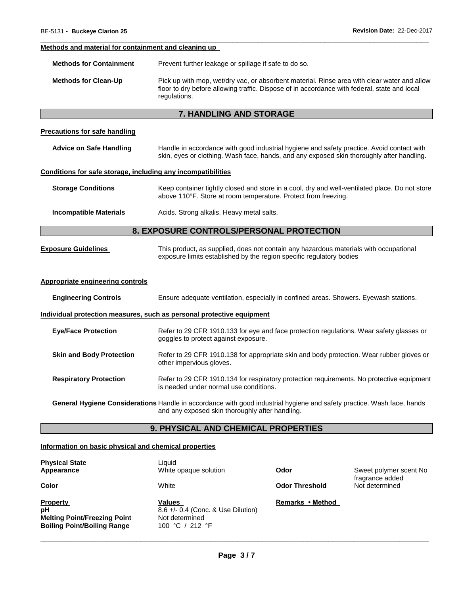#### **Methods and material for containment and cleaning up**

**Methods for Containment** Prevent further leakage or spillage if safe to do so.

**Methods for Clean-Up** Pick up with mop, wet/dry vac, or absorbent material. Rinse area with clear water and allow floor to dry before allowing traffic. Dispose of in accordance with federal, state and local regulations.

\_\_\_\_\_\_\_\_\_\_\_\_\_\_\_\_\_\_\_\_\_\_\_\_\_\_\_\_\_\_\_\_\_\_\_\_\_\_\_\_\_\_\_\_\_\_\_\_\_\_\_\_\_\_\_\_\_\_\_\_\_\_\_\_\_\_\_\_\_\_\_\_\_\_\_\_\_\_\_\_\_\_\_\_\_\_\_\_\_\_\_\_\_

# **7. HANDLING AND STORAGE**

## **Precautions for safe handling**

| Advice on Safe Handling | Handle in accordance with good industrial hygiene and safety practice. Avoid contact with |
|-------------------------|-------------------------------------------------------------------------------------------|
|                         | skin, eyes or clothing. Wash face, hands, and any exposed skin thoroughly after handling. |

#### **Conditions for safe storage, including any incompatibilities**

| <b>Storage Conditions</b> | Keep container tightly closed and store in a cool, dry and well-ventilated place. Do not store |
|---------------------------|------------------------------------------------------------------------------------------------|
|                           | above 110°F. Store at room temperature. Protect from freezing.                                 |

#### **Incompatible Materials Acids. Strong alkalis. Heavy metal salts.**

# **8. EXPOSURE CONTROLS/PERSONAL PROTECTION**

| <b>Exposure Guidelines</b> | This product, as supplied, does not contain any hazardous materials with occupational |
|----------------------------|---------------------------------------------------------------------------------------|
|                            | exposure limits established by the region specific regulatory bodies                  |

#### **Appropriate engineering controls**

| <b>Engineering Controls</b>     | Ensure adequate ventilation, especially in confined areas. Showers. Eyewash stations.                                                                                     |
|---------------------------------|---------------------------------------------------------------------------------------------------------------------------------------------------------------------------|
|                                 | Individual protection measures, such as personal protective equipment                                                                                                     |
| <b>Eye/Face Protection</b>      | Refer to 29 CFR 1910.133 for eye and face protection regulations. Wear safety glasses or<br>goggles to protect against exposure.                                          |
| <b>Skin and Body Protection</b> | Refer to 29 CFR 1910.138 for appropriate skin and body protection. Wear rubber gloves or<br>other impervious gloves.                                                      |
| <b>Respiratory Protection</b>   | Refer to 29 CFR 1910.134 for respiratory protection requirements. No protective equipment<br>is needed under normal use conditions.                                       |
|                                 | General Hygiene Considerations Handle in accordance with good industrial hygiene and safety practice. Wash face, hands<br>and any exposed skin thoroughly after handling. |

# **9. PHYSICAL AND CHEMICAL PROPERTIES**

#### **Information on basic physical and chemical properties**

| <b>Physical State</b><br>Appearance                                                                | Liauid<br>White opaque solution                                                          | Odor                  | Sweet polymer scent No<br>fragrance added |
|----------------------------------------------------------------------------------------------------|------------------------------------------------------------------------------------------|-----------------------|-------------------------------------------|
| Color                                                                                              | White                                                                                    | <b>Odor Threshold</b> | Not determined                            |
| <b>Property</b><br>pH<br><b>Melting Point/Freezing Point</b><br><b>Boiling Point/Boiling Range</b> | <b>Values</b><br>8.6 +/- 0.4 (Conc. & Use Dilution)<br>Not determined<br>100 °C / 212 °F | Remarks • Method      |                                           |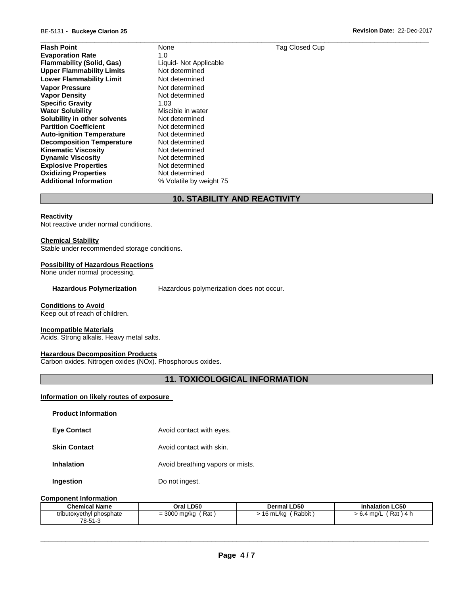\_\_\_\_\_\_\_\_\_\_\_\_\_\_\_\_\_\_\_\_\_\_\_\_\_\_\_\_\_\_\_\_\_\_\_\_\_\_\_\_\_\_\_\_\_\_\_\_\_\_\_\_\_\_\_\_\_\_\_\_\_\_\_\_\_\_\_\_\_\_\_\_\_\_\_\_\_\_\_\_\_\_\_\_\_\_\_\_\_\_\_\_\_ **Flash Point 1996 None Tag Closed Cup Tag Closed Cup Evaporation Rate** 1.0 **Flammability (Solid, Gas)** Liquid- Not Applicable<br>
Upper Flammability Limits Not determined **Upper Flammability Limits Lower Flammability Limit** Not determined **Vapor Pressure <b>Vapor Pressure Not determined**<br> **Vapor Density Not determined Vapor Density Specific Gravity** 1.03 **Water Solubility Miscible in water Solubility in other solvents** Not determined **Partition Coefficient Not determined Auto-ignition Temperature** Not determined **Decomposition Temperature** Not determined **Kinematic Viscosity**<br> **Communic Viscosity**<br> **Not determined Dynamic Viscosity**<br> **Explosive Properties**<br>
Not determined **Explosive Properties Not determined**<br> **Oxidizing Properties Not determined Oxidizing Properties Additional Information** % Volatile by weight 75

# **10. STABILITY AND REACTIVITY**

#### **Reactivity**

Not reactive under normal conditions.

#### **Chemical Stability**

Stable under recommended storage conditions.

#### **Possibility of Hazardous Reactions**

None under normal processing.

#### **Hazardous Polymerization** Hazardous polymerization does not occur.

#### **Conditions to Avoid**

Keep out of reach of children.

#### **Incompatible Materials**

Acids. Strong alkalis. Heavy metal salts.

#### **Hazardous Decomposition Products**

Carbon oxides. Nitrogen oxides (NOx). Phosphorous oxides.

# **11. TOXICOLOGICAL INFORMATION**

# **Information on likely routes of exposure**

| <b>Product Information</b> |                                  |
|----------------------------|----------------------------------|
| <b>Eve Contact</b>         | Avoid contact with eyes.         |
| <b>Skin Contact</b>        | Avoid contact with skin.         |
| <b>Inhalation</b>          | Avoid breathing vapors or mists. |
| Ingestion                  | Do not ingest.                   |

#### **Component Information**

| <b>Chemical Name</b>     | Oral LD50    | <b>Dermal LD50</b> | <b>Inhalation LC50</b> |
|--------------------------|--------------|--------------------|------------------------|
| tributoxyethyl phosphate | = 3000 mg/kg | Rabbit             | ʿRat)4 h               |
| 78-51-3                  | Rat          | 16 mL/kg           | > 6.4 ma/L             |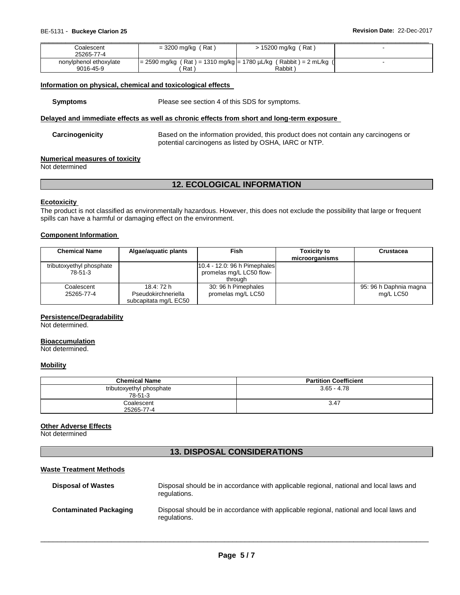| Coalescent             | $=$ 3200 mg/kg (Rat)                                                | $> 15200$ mg/kg (Rat) |  |
|------------------------|---------------------------------------------------------------------|-----------------------|--|
| 25265-77-4             |                                                                     |                       |  |
| nonylphenol ethoxylate | $= 2590$ mg/kg (Rat) = 1310 mg/kg = 1780 µL/kg (Rabbit) = 2 mL/kg ( |                       |  |
| 9016-45-9              | Rat                                                                 | Rabbit                |  |

#### **Information on physical, chemical and toxicological effects**

**Symptoms** Please see section 4 of this SDS for symptoms.

#### **Delayed and immediate effects as well as chronic effects from short and long-term exposure**

**Carcinogenicity** Based on the information provided, this product does not contain any carcinogens or potential carcinogens as listed by OSHA, IARC or NTP.

#### **Numerical measures of toxicity**

Not determined

# **12. ECOLOGICAL INFORMATION**

#### **Ecotoxicity**

The product is not classified as environmentally hazardous. However, this does not exclude the possibility that large or frequent spills can have a harmful or damaging effect on the environment.

# **Component Information**

| <b>Chemical Name</b>                | Algae/aquatic plants                                       | <b>Fish</b>                                                         | <b>Toxicity to</b><br>microorganisms | Crustacea                           |
|-------------------------------------|------------------------------------------------------------|---------------------------------------------------------------------|--------------------------------------|-------------------------------------|
| tributoxyethyl phosphate<br>78-51-3 |                                                            | 10.4 - 12.0: 96 h Pimephales<br>promelas mg/L LC50 flow-<br>through |                                      |                                     |
| Coalescent<br>25265-77-4            | 18.4: 72 h<br>Pseudokirchneriella<br>subcapitata mg/L EC50 | 30: 96 h Pimephales<br>promelas mg/L LC50                           |                                      | 95: 96 h Daphnia magna<br>mg/L LC50 |

#### **Persistence/Degradability**

Not determined.

#### **Bioaccumulation**

Not determined.

#### **Mobility**

| <b>Chemical Name</b>                | <b>Partition Coefficient</b> |
|-------------------------------------|------------------------------|
| tributoxyethyl phosphate<br>78-51-3 | $3.65 - 4.78$                |
| Coalescent<br>25265-77-4            | 3.47                         |

#### **Other Adverse Effects**

Not determined

# **13. DISPOSAL CONSIDERATIONS**

#### **Waste Treatment Methods**

| <b>Disposal of Wastes</b>     | Disposal should be in accordance with applicable regional, national and local laws and<br>regulations. |
|-------------------------------|--------------------------------------------------------------------------------------------------------|
| <b>Contaminated Packaging</b> | Disposal should be in accordance with applicable regional, national and local laws and<br>regulations. |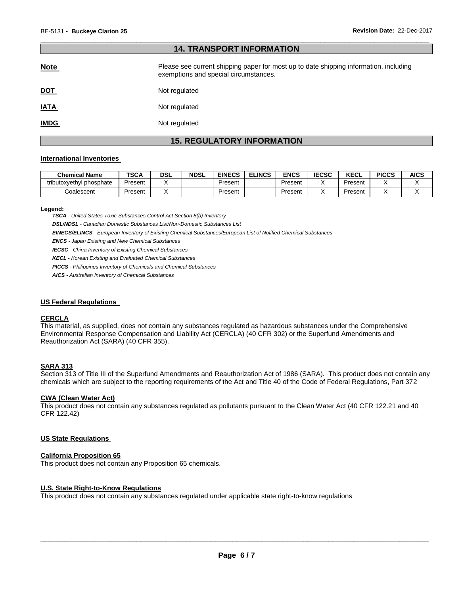#### \_\_\_\_\_\_\_\_\_\_\_\_\_\_\_\_\_\_\_\_\_\_\_\_\_\_\_\_\_\_\_\_\_\_\_\_\_\_\_\_\_\_\_\_\_\_\_\_\_\_\_\_\_\_\_\_\_\_\_\_\_\_\_\_\_\_\_\_\_\_\_\_\_\_\_\_\_\_\_\_\_\_\_\_\_\_\_\_\_\_\_\_\_ **14. TRANSPORT INFORMATION**

| <b>Note</b> | Please see current shipping paper for most up to date shipping information, including<br>exemptions and special circumstances. |
|-------------|--------------------------------------------------------------------------------------------------------------------------------|
| <u>DOT</u>  | Not regulated                                                                                                                  |
| <b>IATA</b> | Not regulated                                                                                                                  |
| <b>IMDG</b> | Not regulated                                                                                                                  |

# **15. REGULATORY INFORMATION**

#### **International Inventories**

| <b>Chemical Name</b>     | <b>TSCA</b> | <b>DSL</b> | <b>NDSL</b> | <b>EINECS</b> | <b>ELINCS</b> | ENCS    | <b>IECSC</b> | <b>KECL</b> | <b>PICCS</b> | <b>AICS</b> |
|--------------------------|-------------|------------|-------------|---------------|---------------|---------|--------------|-------------|--------------|-------------|
| tributoxyethyl phosphate | Present     |            |             | Present       |               | Present |              | Present     |              |             |
| こoalescent               | Present     |            |             | Present       |               | Present |              | Present     |              |             |

#### **Legend:**

*TSCA - United States Toxic Substances Control Act Section 8(b) Inventory* 

*DSL/NDSL - Canadian Domestic Substances List/Non-Domestic Substances List* 

*EINECS/ELINCS - European Inventory of Existing Chemical Substances/European List of Notified Chemical Substances* 

*ENCS - Japan Existing and New Chemical Substances* 

*IECSC - China Inventory of Existing Chemical Substances* 

*KECL - Korean Existing and Evaluated Chemical Substances* 

*PICCS - Philippines Inventory of Chemicals and Chemical Substances* 

*AICS - Australian Inventory of Chemical Substances* 

#### **US Federal Regulations**

#### **CERCLA**

This material, as supplied, does not contain any substances regulated as hazardous substances under the Comprehensive Environmental Response Compensation and Liability Act (CERCLA) (40 CFR 302) or the Superfund Amendments and Reauthorization Act (SARA) (40 CFR 355).

# **SARA 313**

Section 313 of Title III of the Superfund Amendments and Reauthorization Act of 1986 (SARA). This product does not contain any chemicals which are subject to the reporting requirements of the Act and Title 40 of the Code of Federal Regulations, Part 372

#### **CWA (Clean Water Act)**

This product does not contain any substances regulated as pollutants pursuant to the Clean Water Act (40 CFR 122.21 and 40 CFR 122.42)

#### **US State Regulations**

#### **California Proposition 65**

This product does not contain any Proposition 65 chemicals.

#### **U.S. State Right-to-Know Regulations**

This product does not contain any substances regulated under applicable state right-to-know regulations